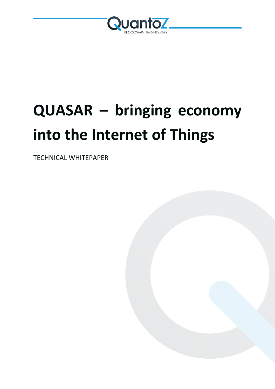

# **QUASAR – bringing economy into the Internet of Things**

TECHNICAL WHITEPAPER

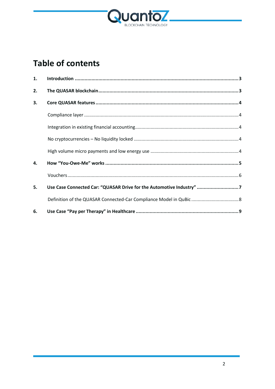

## **Table of contents**

| 1. |                                                                      |  |
|----|----------------------------------------------------------------------|--|
| 2. |                                                                      |  |
| 3. |                                                                      |  |
|    |                                                                      |  |
|    |                                                                      |  |
|    |                                                                      |  |
|    |                                                                      |  |
| 4. |                                                                      |  |
|    |                                                                      |  |
| 5. | Use Case Connected Car: "QUASAR Drive for the Automotive Industry" 7 |  |
|    | Definition of the QUASAR Connected-Car Compliance Model in QuBic  8  |  |
| 6. |                                                                      |  |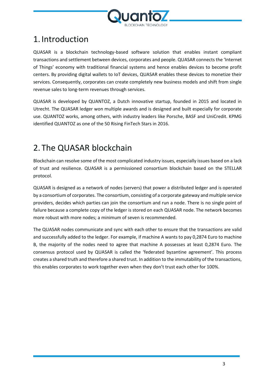

## <span id="page-2-0"></span>1. Introduction

QUASAR is a blockchain technology-based software solution that enables instant compliant transactions and settlement between devices, corporates and people. QUASAR connects the 'Internet of Things' economy with traditional financial systems and hence enables devices to become profit centers. By providing digital wallets to IoT devices, QUASAR enables these devices to monetize their services. Consequently, corporates can create completely new business models and shift from single revenue sales to long-term revenues through services.

QUASAR is developed by QUANTOZ, a Dutch innovative startup, founded in 2015 and located in Utrecht. The QUASAR ledger won multiple awards and is designed and built especially for corporate use. QUANTOZ works, among others, with industry leaders like Porsche, BASF and UniCredit. KPMG identified QUANTOZ as one of the 50 Rising FinTech Stars in 2016.

## <span id="page-2-1"></span>2. The QUASAR blockchain

Blockchain can resolve some of the most complicated industry issues, especially issues based on a lack of trust and resilience. QUASAR is a permissioned consortium blockchain based on the STELLAR protocol.

QUASAR is designed as a network of nodes (servers) that power a distributed ledger and is operated by a consortium of corporates. The consortium, consisting of a corporate gateway and multiple service providers, decides which parties can join the consortium and run a node. There is no single point of failure because a complete copy of the ledger is stored on each QUASAR node. The network becomes more robust with more nodes; a minimum of seven is recommended.

The QUASAR nodes communicate and sync with each other to ensure that the transactions are valid and successfully added to the ledger. For example, if machine A wants to pay 0,2874 Euro to machine B, the majority of the nodes need to agree that machine A possesses at least 0,2874 Euro. The consensus protocol used by QUASAR is called the 'federated byzantine agreement'. This process creates a shared truth and therefore a shared trust. In addition to the immutability of the transactions, this enables corporates to work together even when they don't trust each other for 100%.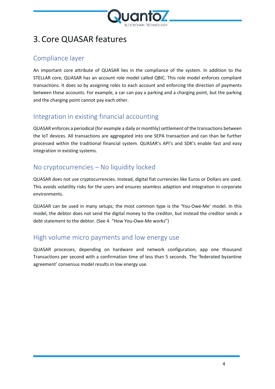

## <span id="page-3-0"></span>3.Core QUASAR features

### <span id="page-3-1"></span>Compliance layer

An important core attribute of QUASAR lies in the compliance of the system. In addition to the STELLAR core, QUASAR has an account role model called QBIC. This role model enforces compliant transactions. It does so by assigning roles to each account and enforcing the direction of payments between these accounts. For example, a car can pay a parking and a charging point, but the parking and the charging point cannot pay each other.

#### <span id="page-3-2"></span>Integration in existing financial accounting

QUASAR enforces a periodical (for example a daily or monthly) settlement of the transactions between the IoT devices. All transactions are aggregated into one SEPA transaction and can than be further processed within the traditional financial system. QUASAR's API's and SDK's enable fast and easy integration in existing systems.

#### <span id="page-3-3"></span>No cryptocurrencies – No liquidity locked

QUASAR does not use cryptocurrencies. Instead, digital fiat currencies like Euros or Dollars are used. This avoids volatility risks for the users and ensures seamless adaption and integration in corporate environments.

QUASAR can be used in many setups; the most common type is the 'You-Owe-Me' model. In this model, the debtor does not send the digital money to the creditor, but instead the creditor sends a debt statement to the debtor. (See 4. "How You-Owe-Me works")

## <span id="page-3-4"></span>High volume micro payments and low energy use

QUASAR processes, depending on hardware and network configuration, app one thousand Transactions per second with a confirmation time of less than 5 seconds. The 'federated byzantine agreement' consensus model results in low energy use.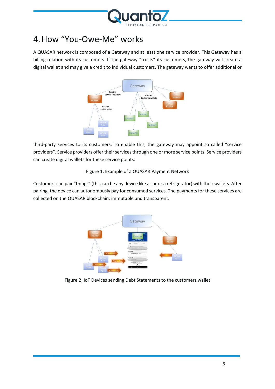

## <span id="page-4-0"></span>4.How "You-Owe-Me" works

A QUASAR network is composed of a Gateway and at least one service provider. This Gateway has a billing relation with its customers. If the gateway "trusts" its customers, the gateway will create a digital wallet and may give a credit to individual customers. The gateway wants to offer additional or



third-party services to its customers. To enable this, the gateway may appoint so called "service providers". Service providers offer their services through one or more service points. Service providers can create digital wallets for these service points.

#### Figure 1, Example of a QUASAR Payment Network

Customers can pair "things" (this can be any device like a car or a refrigerator) with their wallets. After pairing, the device can autonomously pay for consumed services. The payments for these services are collected on the QUASAR blockchain: immutable and transparent.



Figure 2, IoT Devices sending Debt Statements to the customers wallet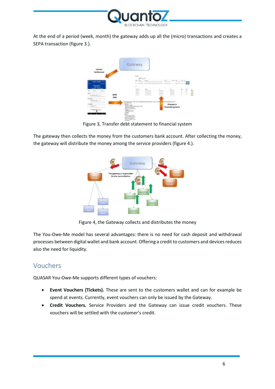

At the end of a period (week, month) the gateway adds up all the (micro) transactions and creates a SEPA transaction (figure 3.).



Figure 3, Transfer debt statement to financial system

The gateway then collects the money from the customers bank account. After collecting the money, the gateway will distribute the money among the service providers (figure 4.).



Figure 4, the Gateway collects and distributes the money

The You-Owe-Me model has several advantages: there is no need for cash deposit and withdrawal processes between digital wallet and bank account. Offering a credit to customers and devices reduces also the need for liquidity.

#### <span id="page-5-0"></span>Vouchers

QUASAR You-Owe-Me supports different types of vouchers:

- **Event Vouchers (Tickets).** These are sent to the customers wallet and can for example be spend at events. Currently, event vouchers can only be issued by the Gateway.
- **Credit Vouchers.** Service Providers and the Gateway can issue credit vouchers. These vouchers will be settled with the customer's credit.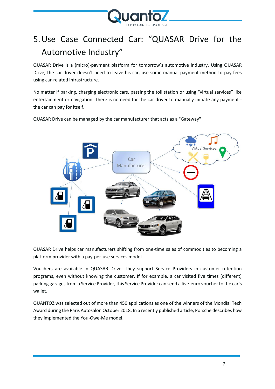

# <span id="page-6-0"></span>5.Use Case Connected Car: "QUASAR Drive for the Automotive Industry"

QUASAR Drive is a (micro)-payment platform for tomorrow's automotive industry. Using QUASAR Drive, the car driver doesn't need to leave his car, use some manual payment method to pay fees using car-related infrastructure.

No matter if parking, charging electronic cars, passing the toll station or using "virtual services" like entertainment or navigation. There is no need for the car driver to manually initiate any payment the car can pay for itself.

QUASAR Drive can be managed by the car manufacturer that acts as a "Gateway"



QUASAR Drive helps car manufacturers shifting from one-time sales of commodities to becoming a platform provider with a pay-per-use services model.

Vouchers are available in QUASAR Drive. They support Service Providers in customer retention programs, even without knowing the customer. If for example, a car visited five times (different) parking garages from a Service Provider, this Service Provider can send a five-euro voucher to the car's wallet.

QUANTOZ was selected out of more than 450 applications as one of the winners of the Mondial Tech Award during the Paris Autosalon October 2018. In a recently published article[, Porsche describes how](https://newsroom.porsche.com/en/company/porsche-blockchain-technology-opportunities-digitization-16800.html)  [they implemented the You-Owe-Me model.](https://newsroom.porsche.com/en/company/porsche-blockchain-technology-opportunities-digitization-16800.html)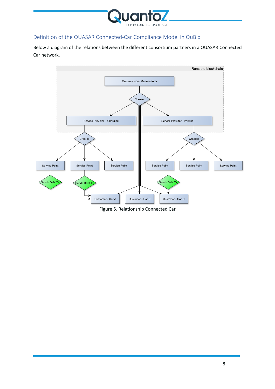

#### <span id="page-7-0"></span>Definition of the QUASAR Connected-Car Compliance Model in QuBic

Below a diagram of the relations between the different consortium partners in a QUASAR Connected Car network.



Figure 5, Relationship Connected Car